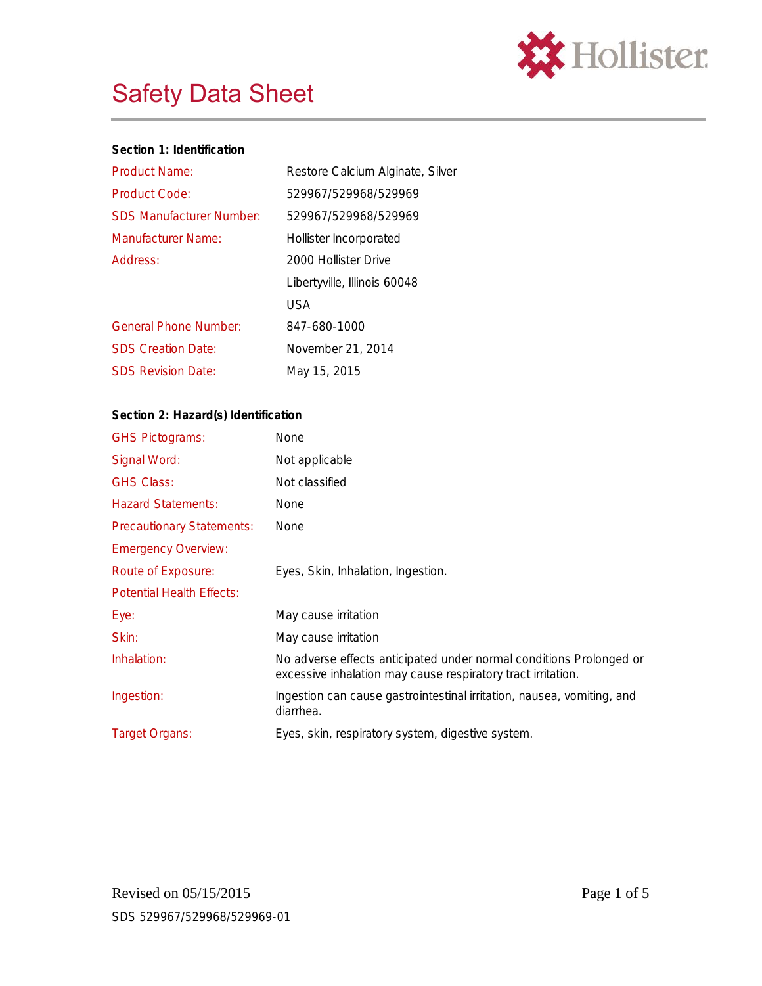

| Section 1: Identification       |                                  |
|---------------------------------|----------------------------------|
| Product Name:                   | Restore Calcium Alginate, Silver |
| Product Code:                   | 529967/529968/529969             |
| <b>SDS Manufacturer Number:</b> | 529967/529968/529969             |
| Manufacturer Name:              | Hollister Incorporated           |
| Address:                        | 2000 Hollister Drive             |
|                                 | Libertyville, Illinois 60048     |
|                                 | USA                              |
| <b>General Phone Number:</b>    | 847-680-1000                     |
| <b>SDS Creation Date:</b>       | November 21, 2014                |
| <b>SDS Revision Date:</b>       | May 15, 2015                     |
|                                 |                                  |

## **Section 2: Hazard(s) Identification**

| <b>GHS Pictograms:</b>           | None                                                                                                                                |
|----------------------------------|-------------------------------------------------------------------------------------------------------------------------------------|
| Signal Word:                     | Not applicable                                                                                                                      |
| <b>GHS Class:</b>                | Not classified                                                                                                                      |
| <b>Hazard Statements:</b>        | None                                                                                                                                |
| <b>Precautionary Statements:</b> | <b>None</b>                                                                                                                         |
| <b>Emergency Overview:</b>       |                                                                                                                                     |
| Route of Exposure:               | Eyes, Skin, Inhalation, Ingestion.                                                                                                  |
| <b>Potential Health Effects:</b> |                                                                                                                                     |
| Eye:                             | May cause irritation                                                                                                                |
| Skin:                            | May cause irritation                                                                                                                |
| Inhalation:                      | No adverse effects anticipated under normal conditions Prolonged or<br>excessive inhalation may cause respiratory tract irritation. |
| Ingestion:                       | Ingestion can cause gastrointestinal irritation, nausea, vomiting, and<br>diarrhea.                                                 |
| <b>Target Organs:</b>            | Eyes, skin, respiratory system, digestive system.                                                                                   |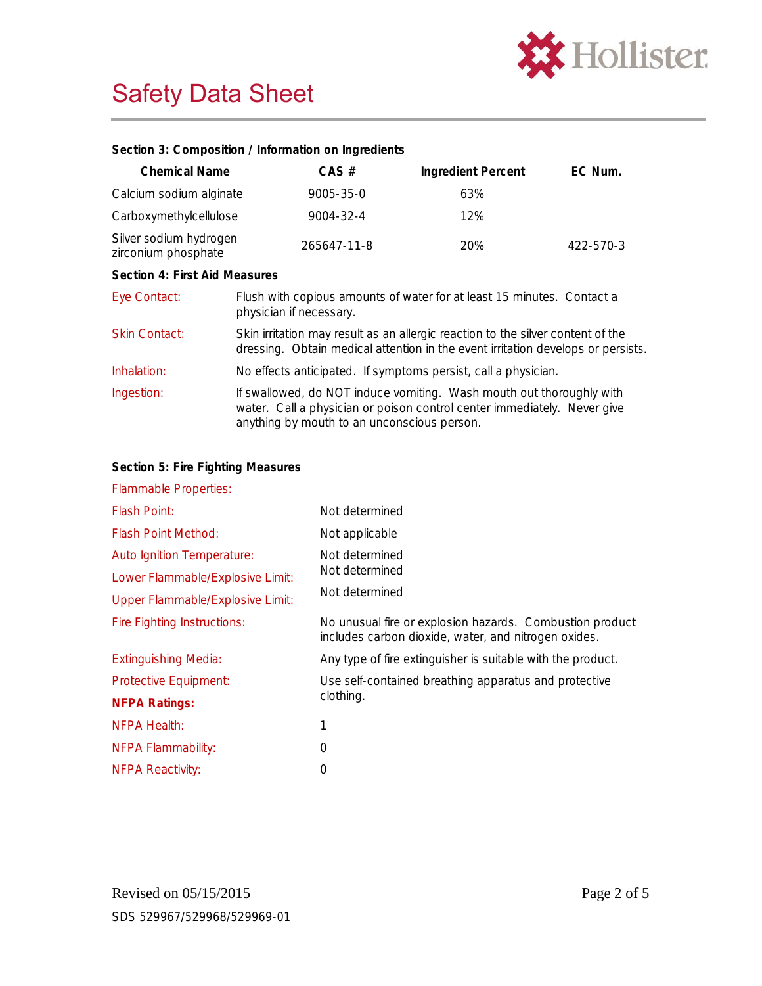

**Section 3: Composition / Information on Ingredients**

| Chemical Name                                 | CAS #                                                                                                                                                                                           | Ingredient Percent | EC Num.   |
|-----------------------------------------------|-------------------------------------------------------------------------------------------------------------------------------------------------------------------------------------------------|--------------------|-----------|
| Calcium sodium alginate                       | $9005 - 35 - 0$                                                                                                                                                                                 | 63%                |           |
| Carboxymethylcellulose                        | 9004-32-4                                                                                                                                                                                       | 12%                |           |
| Silver sodium hydrogen<br>zirconium phosphate | 265647-11-8                                                                                                                                                                                     | 20%                | 422-570-3 |
| Section 4: First Aid Measures                 |                                                                                                                                                                                                 |                    |           |
| Eye Contact:                                  | Flush with copious amounts of water for at least 15 minutes. Contact a<br>physician if necessary.                                                                                               |                    |           |
| <b>Skin Contact:</b>                          | Skin irritation may result as an allergic reaction to the silver content of the<br>dressing. Obtain medical attention in the event irritation develops or persists.                             |                    |           |
| Inhalation:                                   | No effects anticipated. If symptoms persist, call a physician.                                                                                                                                  |                    |           |
| Ingestion:                                    | If swallowed, do NOT induce vomiting. Wash mouth out thoroughly with<br>water. Call a physician or poison control center immediately. Never give<br>anything by mouth to an unconscious person. |                    |           |

| Section 5: Fire Fighting Measures       |                                                                                                                  |
|-----------------------------------------|------------------------------------------------------------------------------------------------------------------|
| <b>Flammable Properties:</b>            |                                                                                                                  |
| <b>Flash Point:</b>                     | Not determined                                                                                                   |
| <b>Flash Point Method:</b>              | Not applicable                                                                                                   |
| Auto Ignition Temperature:              | Not determined                                                                                                   |
| Lower Flammable/Explosive Limit:        | Not determined                                                                                                   |
| <b>Upper Flammable/Explosive Limit:</b> | Not determined                                                                                                   |
| <b>Fire Fighting Instructions:</b>      | No unusual fire or explosion hazards. Combustion product<br>includes carbon dioxide, water, and nitrogen oxides. |
| <b>Extinguishing Media:</b>             | Any type of fire extinguisher is suitable with the product.                                                      |
| Protective Equipment:                   | Use self-contained breathing apparatus and protective                                                            |
| <b>NFPA Ratings:</b>                    | clothing.                                                                                                        |
| NFPA Health:                            | 1                                                                                                                |
| <b>NFPA Flammability:</b>               | 0                                                                                                                |
| <b>NFPA Reactivity:</b>                 | 0                                                                                                                |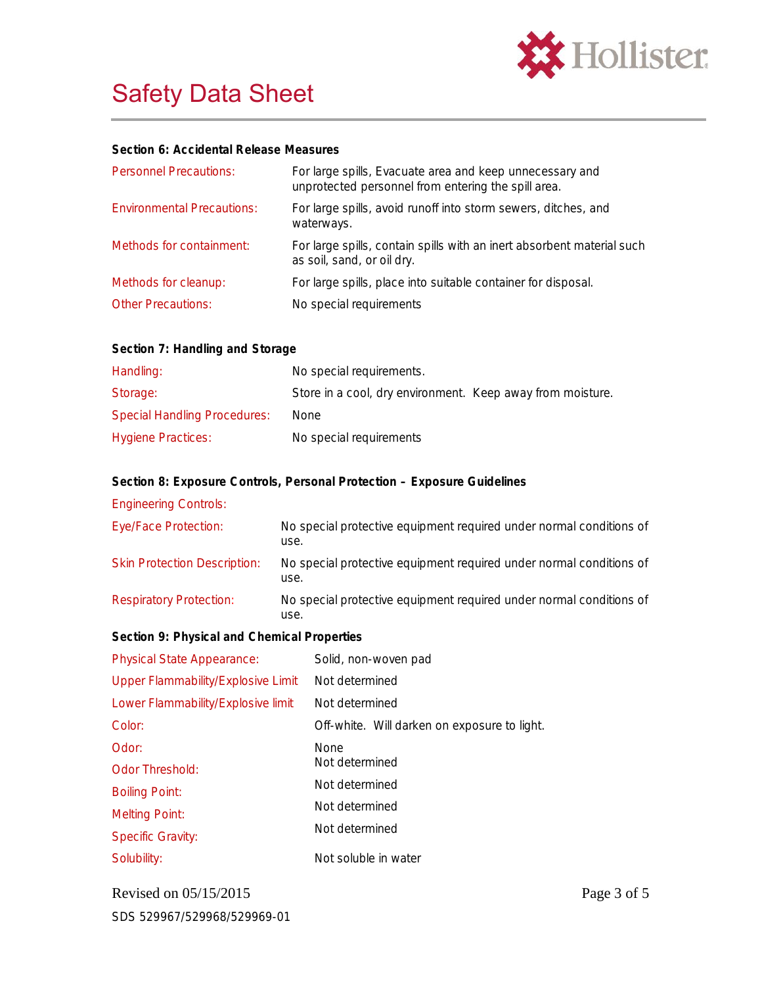

|  | Section 6: Accidental Release Measures |  |
|--|----------------------------------------|--|
|  |                                        |  |

| <b>Personnel Precautions:</b>     | For large spills, Evacuate area and keep unnecessary and<br>unprotected personnel from entering the spill area. |
|-----------------------------------|-----------------------------------------------------------------------------------------------------------------|
| <b>Environmental Precautions:</b> | For large spills, avoid runoff into storm sewers, ditches, and<br>waterways.                                    |
| Methods for containment:          | For large spills, contain spills with an inert absorbent material such<br>as soil, sand, or oil dry.            |
| Methods for cleanup:              | For large spills, place into suitable container for disposal.                                                   |
| <b>Other Precautions:</b>         | No special requirements                                                                                         |

| Handling:                           | No special requirements.                                   |
|-------------------------------------|------------------------------------------------------------|
| Storage:                            | Store in a cool, dry environment. Keep away from moisture. |
| <b>Special Handling Procedures:</b> | None                                                       |
| <b>Hygiene Practices:</b>           | No special requirements                                    |

**Section 8: Exposure Controls, Personal Protection – Exposure Guidelines**

Engineering Controls:

| Eye/Face Protection:                | No special protective equipment required under normal conditions of<br>use. |
|-------------------------------------|-----------------------------------------------------------------------------|
| <b>Skin Protection Description:</b> | No special protective equipment required under normal conditions of<br>use. |
| <b>Respiratory Protection:</b>      | No special protective equipment required under normal conditions of<br>use. |

**Section 9: Physical and Chemical Properties**

| <b>Physical State Appearance:</b>  | Solid, non-woven pad                         |
|------------------------------------|----------------------------------------------|
| Upper Flammability/Explosive Limit | Not determined                               |
| Lower Flammability/Explosive limit | Not determined                               |
| Color:                             | Off-white. Will darken on exposure to light. |
| Odor:                              | <b>None</b>                                  |
| <b>Odor Threshold:</b>             | Not determined                               |
| <b>Boiling Point:</b>              | Not determined                               |
| <b>Melting Point:</b>              | Not determined                               |
| <b>Specific Gravity:</b>           | Not determined                               |
| Solubility:                        | Not soluble in water                         |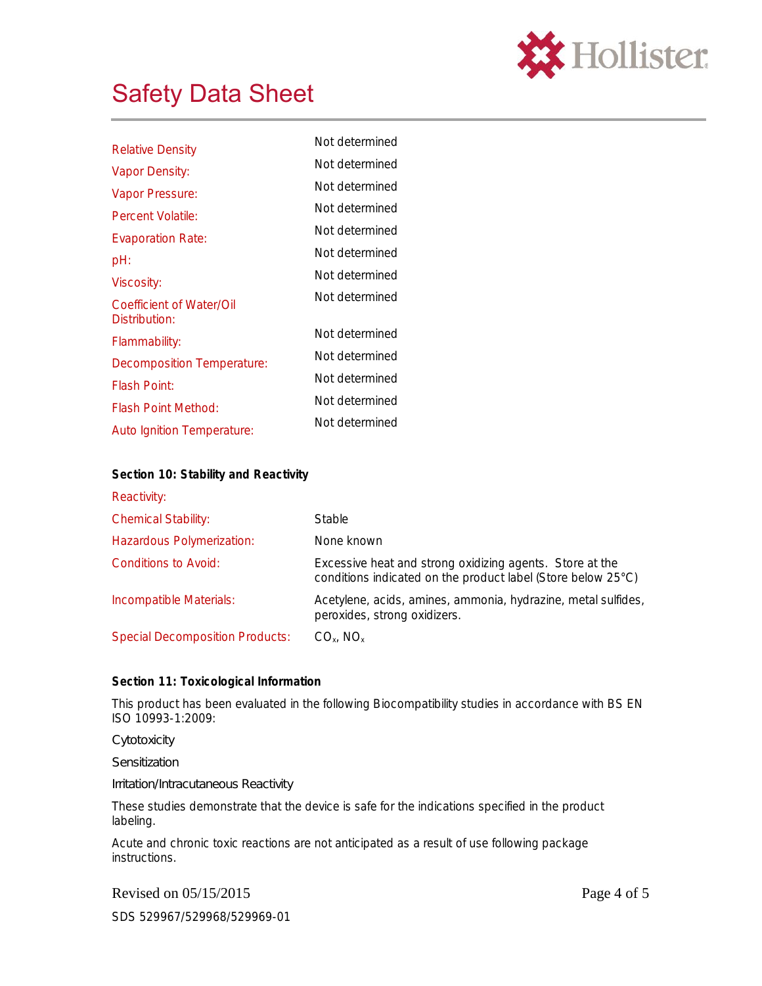

| <b>Relative Density</b>                   | Not determined |
|-------------------------------------------|----------------|
| Vapor Density:                            | Not determined |
| Vapor Pressure:                           | Not determined |
| Percent Volatile:                         | Not determined |
| <b>Evaporation Rate:</b>                  | Not determined |
| pH:                                       | Not determined |
| Viscosity:                                | Not determined |
| Coefficient of Water/Oil<br>Distribution: | Not determined |
| Flammability:                             | Not determined |
| Decomposition Temperature:                | Not determined |
| <b>Flash Point:</b>                       | Not determined |
| Flash Point Method:                       | Not determined |
| <b>Auto Ignition Temperature:</b>         | Not determined |

| Section 10: Stability and Reactivity   |                                                                                                                          |
|----------------------------------------|--------------------------------------------------------------------------------------------------------------------------|
| Reactivity:                            |                                                                                                                          |
| <b>Chemical Stability:</b>             | <b>Stable</b>                                                                                                            |
| Hazardous Polymerization:              | None known                                                                                                               |
| Conditions to Avoid:                   | Excessive heat and strong oxidizing agents. Store at the<br>conditions indicated on the product label (Store below 25°C) |
| Incompatible Materials:                | Acetylene, acids, amines, ammonia, hydrazine, metal sulfides,<br>peroxides, strong oxidizers.                            |
| <b>Special Decomposition Products:</b> | $CO_{x}$ , NO <sub>x</sub>                                                                                               |

## **Section 11: Toxicological Information**

This product has been evaluated in the following Biocompatibility studies in accordance with BS EN ISO 10993-1:2009:

*Cytotoxicity*

*Sensitization*

*Irritation/Intracutaneous Reactivity*

These studies demonstrate that the device is safe for the indications specified in the product labeling.

Acute and chronic toxic reactions are not anticipated as a result of use following package instructions.

Revised on 05/15/2015 Page 4 of 5

SDS 529967/529968/529969-01